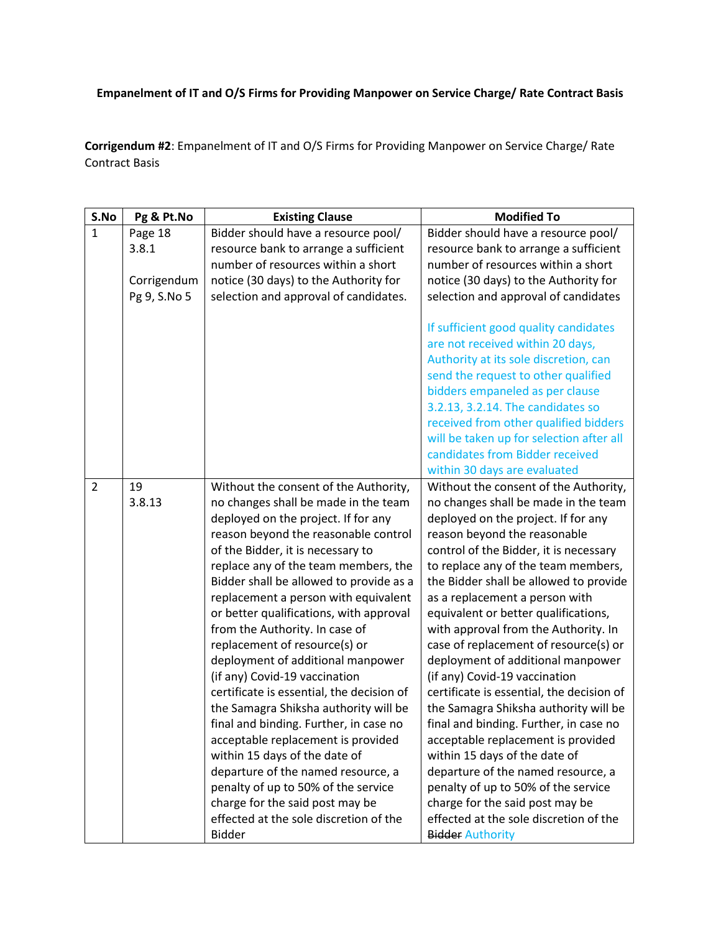## **Empanelment of IT and O/S Firms for Providing Manpower on Service Charge/ Rate Contract Basis**

**Corrigendum #2**: Empanelment of IT and O/S Firms for Providing Manpower on Service Charge/ Rate Contract Basis

| S.No           | Pg & Pt.No   | <b>Existing Clause</b>                    | <b>Modified To</b>                        |
|----------------|--------------|-------------------------------------------|-------------------------------------------|
| $\mathbf{1}$   | Page 18      | Bidder should have a resource pool/       | Bidder should have a resource pool/       |
|                | 3.8.1        | resource bank to arrange a sufficient     | resource bank to arrange a sufficient     |
|                |              | number of resources within a short        | number of resources within a short        |
|                | Corrigendum  | notice (30 days) to the Authority for     | notice (30 days) to the Authority for     |
|                | Pg 9, S.No 5 | selection and approval of candidates.     | selection and approval of candidates      |
|                |              |                                           | If sufficient good quality candidates     |
|                |              |                                           | are not received within 20 days,          |
|                |              |                                           | Authority at its sole discretion, can     |
|                |              |                                           | send the request to other qualified       |
|                |              |                                           | bidders empaneled as per clause           |
|                |              |                                           | 3.2.13, 3.2.14. The candidates so         |
|                |              |                                           | received from other qualified bidders     |
|                |              |                                           | will be taken up for selection after all  |
|                |              |                                           | candidates from Bidder received           |
|                |              |                                           | within 30 days are evaluated              |
| $\overline{2}$ | 19           | Without the consent of the Authority,     | Without the consent of the Authority,     |
|                | 3.8.13       | no changes shall be made in the team      | no changes shall be made in the team      |
|                |              | deployed on the project. If for any       | deployed on the project. If for any       |
|                |              | reason beyond the reasonable control      | reason beyond the reasonable              |
|                |              | of the Bidder, it is necessary to         | control of the Bidder, it is necessary    |
|                |              | replace any of the team members, the      | to replace any of the team members,       |
|                |              | Bidder shall be allowed to provide as a   | the Bidder shall be allowed to provide    |
|                |              | replacement a person with equivalent      | as a replacement a person with            |
|                |              | or better qualifications, with approval   | equivalent or better qualifications,      |
|                |              | from the Authority. In case of            | with approval from the Authority. In      |
|                |              | replacement of resource(s) or             | case of replacement of resource(s) or     |
|                |              | deployment of additional manpower         | deployment of additional manpower         |
|                |              | (if any) Covid-19 vaccination             | (if any) Covid-19 vaccination             |
|                |              | certificate is essential, the decision of | certificate is essential, the decision of |
|                |              | the Samagra Shiksha authority will be     | the Samagra Shiksha authority will be     |
|                |              | final and binding. Further, in case no    | final and binding. Further, in case no    |
|                |              | acceptable replacement is provided        | acceptable replacement is provided        |
|                |              | within 15 days of the date of             | within 15 days of the date of             |
|                |              | departure of the named resource, a        | departure of the named resource, a        |
|                |              | penalty of up to 50% of the service       | penalty of up to 50% of the service       |
|                |              | charge for the said post may be           | charge for the said post may be           |
|                |              | effected at the sole discretion of the    | effected at the sole discretion of the    |
|                |              | <b>Bidder</b>                             | <b>Bidder Authority</b>                   |